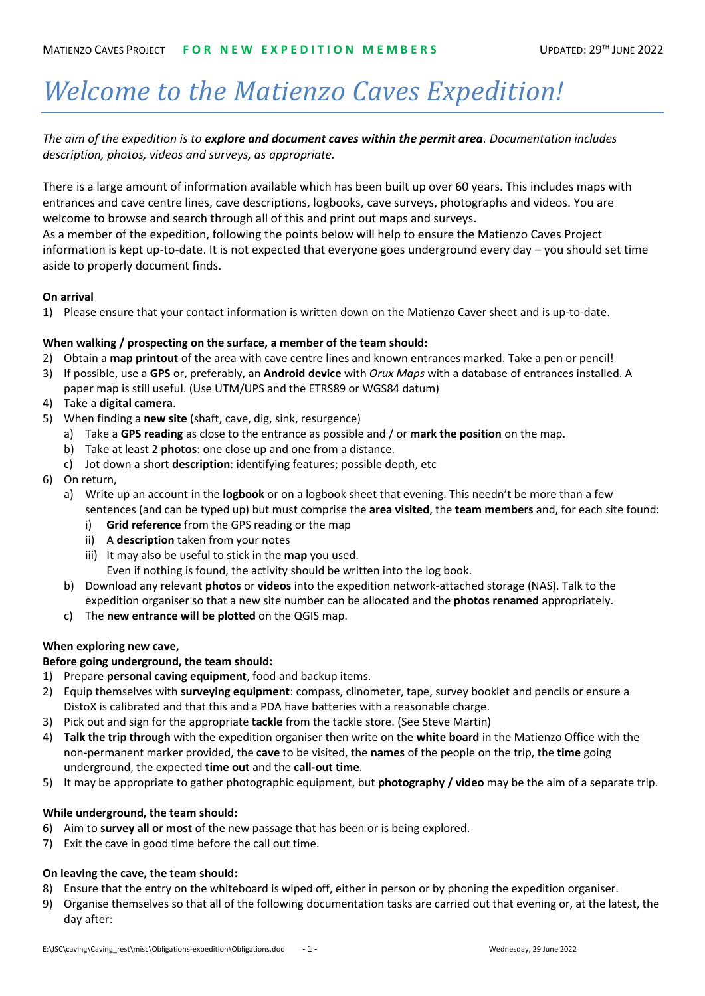# *Welcome to the Matienzo Caves Expedition!*

*The aim of the expedition is to explore and document caves within the permit area. Documentation includes description, photos, videos and surveys, as appropriate.*

There is a large amount of information available which has been built up over 60 years. This includes maps with entrances and cave centre lines, cave descriptions, logbooks, cave surveys, photographs and videos. You are welcome to browse and search through all of this and print out maps and surveys.

As a member of the expedition, following the points below will help to ensure the Matienzo Caves Project information is kept up-to-date. It is not expected that everyone goes underground every day – you should set time aside to properly document finds.

## **On arrival**

1) Please ensure that your contact information is written down on the Matienzo Caver sheet and is up-to-date.

## **When walking / prospecting on the surface, a member of the team should:**

- 2) Obtain a **map printout** of the area with cave centre lines and known entrances marked. Take a pen or pencil!
- 3) If possible, use a **GPS** or, preferably, an **Android device** with *Orux Maps* with a database of entrances installed. A paper map is still useful. (Use UTM/UPS and the ETRS89 or WGS84 datum)
- 4) Take a **digital camera**.
- 5) When finding a **new site** (shaft, cave, dig, sink, resurgence)
	- a) Take a **GPS reading** as close to the entrance as possible and / or **mark the position** on the map.
	- b) Take at least 2 **photos**: one close up and one from a distance.
	- c) Jot down a short **description**: identifying features; possible depth, etc
- 6) On return,
	- a) Write up an account in the **logbook** or on a logbook sheet that evening. This needn't be more than a few sentences (and can be typed up) but must comprise the **area visited**, the **team members** and, for each site found:
		- i) **Grid reference** from the GPS reading or the map
		- ii) A **description** taken from your notes
		- iii) It may also be useful to stick in the **map** you used. Even if nothing is found, the activity should be written into the log book.
	- b) Download any relevant **photos** or **videos** into the expedition network-attached storage (NAS). Talk to the expedition organiser so that a new site number can be allocated and the **photos renamed** appropriately.
	- c) The **new entrance will be plotted** on the QGIS map.

### **When exploring new cave,**

### **Before going underground, the team should:**

- 1) Prepare **personal caving equipment**, food and backup items.
- 2) Equip themselves with **surveying equipment**: compass, clinometer, tape, survey booklet and pencils or ensure a DistoX is calibrated and that this and a PDA have batteries with a reasonable charge.
- 3) Pick out and sign for the appropriate **tackle** from the tackle store. (See Steve Martin)
- 4) **Talk the trip through** with the expedition organiser then write on the **white board** in the Matienzo Office with the non-permanent marker provided, the **cave** to be visited, the **names** of the people on the trip, the **time** going underground, the expected **time out** and the **call-out time**.
- 5) It may be appropriate to gather photographic equipment, but **photography / video** may be the aim of a separate trip.

## **While underground, the team should:**

- 6) Aim to **survey all or most** of the new passage that has been or is being explored.
- 7) Exit the cave in good time before the call out time.

## **On leaving the cave, the team should:**

- 8) Ensure that the entry on the whiteboard is wiped off, either in person or by phoning the expedition organiser.
- 9) Organise themselves so that all of the following documentation tasks are carried out that evening or, at the latest, the day after: